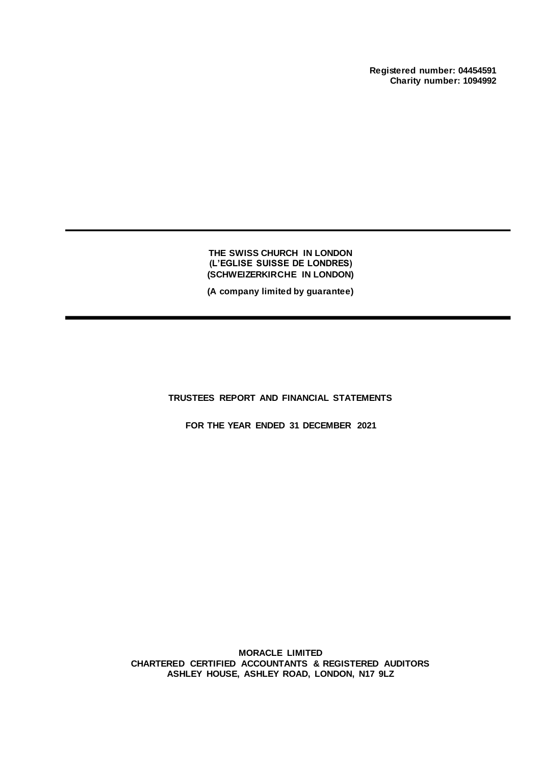**Registered number: 04454591 Charity number: 1094992**

**THE SWISS CHURCH IN LONDON (L'EGLISE SUISSE DE LONDRES) (SCHWEIZERKIRCHE IN LONDON)**

**(A company limited by guarantee)**

**TRUSTEES REPORT AND FINANCIAL STATEMENTS**

**FOR THE YEAR ENDED 31 DECEMBER 2021**

**MORACLE LIMITED CHARTERED CERTIFIED ACCOUNTANTS & REGISTERED AUDITORS ASHLEY HOUSE, ASHLEY ROAD, LONDON, N17 9LZ**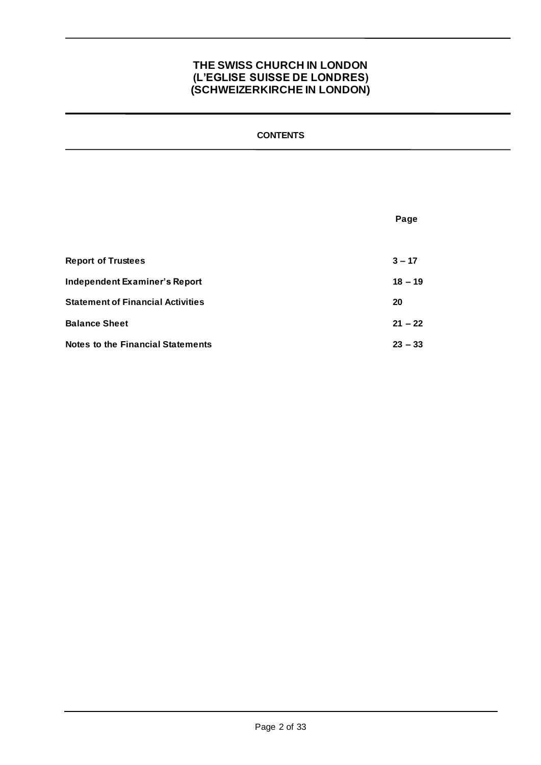## **CONTENTS**

|                                          | Page      |
|------------------------------------------|-----------|
|                                          |           |
| <b>Report of Trustees</b>                | $3 - 17$  |
| Independent Examiner's Report            | $18 - 19$ |
| <b>Statement of Financial Activities</b> | 20        |
| <b>Balance Sheet</b>                     | $21 - 22$ |
| <b>Notes to the Financial Statements</b> | $23 - 33$ |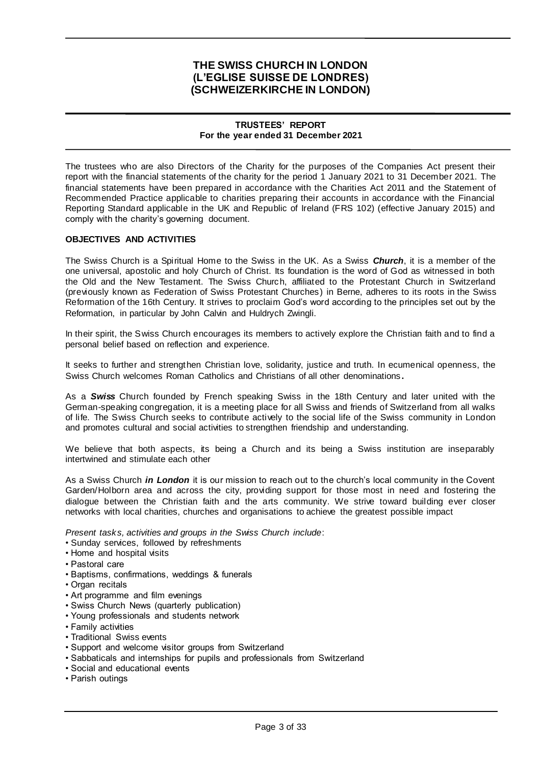## **TRUSTEES' REPORT For the year ended 31 December 2021**

The trustees who are also Directors of the Charity for the purposes of the Companies Act present their report with the financial statements of the charity for the period 1 January 2021 to 31 December 2021. The financial statements have been prepared in accordance with the Charities Act 2011 and the Statement of Recommended Practice applicable to charities preparing their accounts in accordance with the Financial Reporting Standard applicable in the UK and Republic of Ireland (FRS 102) (effective January 2015) and comply with the charity's governing document.

### **OBJECTIVES AND ACTIVITIES**

The Swiss Church is a Spiritual Home to the Swiss in the UK. As a Swiss *Church*, it is a member of the one universal, apostolic and holy Church of Christ. Its foundation is the word of God as witnessed in both the Old and the New Testament. The Swiss Church, affiliated to the Protestant Church in Switzerland (previously known as Federation of Swiss Protestant Churches) in Berne, adheres to its roots in the Swiss Reformation of the 16th Century. It strives to proclaim God's word according to the principles set out by the Reformation, in particular by John Calvin and Huldrych Zwingli.

In their spirit, the Swiss Church encourages its members to actively explore the Christian faith and to find a personal belief based on reflection and experience.

It seeks to further and strengthen Christian love, solidarity, justice and truth. In ecumenical openness, the Swiss Church welcomes Roman Catholics and Christians of all other denominations **.**

As a *Swiss* Church founded by French speaking Swiss in the 18th Century and later united with the German-speaking congregation, it is a meeting place for all Swiss and friends of Switzerland from all walks of life. The Swiss Church seeks to contribute actively to the social life of the Swiss community in London and promotes cultural and social activities to strengthen friendship and understanding.

We believe that both aspects, its being a Church and its being a Swiss institution are inseparably intertwined and stimulate each other

As a Swiss Church *in London* it is our mission to reach out to the church's local community in the Covent Garden/Holborn area and across the city, providing support for those most in need and fostering the dialogue between the Christian faith and the arts community. We strive toward building ever closer networks with local charities, churches and organisations to achieve the greatest possible impact

*Present tasks, activities and groups in the Swiss Church include*:

- Sunday services, followed by refreshments
- Home and hospital visits
- Pastoral care
- Baptisms, confirmations, weddings & funerals
- Organ recitals
- Art programme and film evenings
- Swiss Church News (quarterly publication)
- Young professionals and students network
- Family activities
- Traditional Swiss events
- Support and welcome visitor groups from Switzerland
- Sabbaticals and internships for pupils and professionals from Switzerland
- Social and educational events
- Parish outings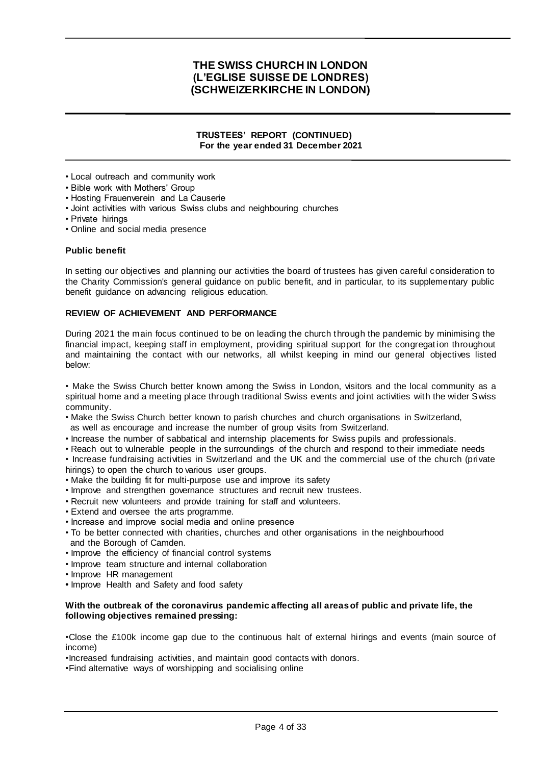### **TRUSTEES' REPORT (CONTINUED) For the year ended 31 December 2021**

- Local outreach and community work
- Bible work with Mothers' Group
- Hosting Frauenverein and La Causerie
- Joint activities with various Swiss clubs and neighbouring churches
- Private hirings
- Online and social media presence

#### **Public benefit**

In setting our objectives and planning our activities the board of trustees has given careful consideration to the Charity Commission's general guidance on public benefit, and in particular, to its supplementary public benefit guidance on advancing religious education.

## **REVIEW OF ACHIEVEMENT AND PERFORMANCE**

During 2021 the main focus continued to be on leading the church through the pandemic by minimising the financial impact, keeping staff in employment, providing spiritual support for the congregat ion throughout and maintaining the contact with our networks, all whilst keeping in mind our general objectives listed below:

• Make the Swiss Church better known among the Swiss in London, visitors and the local community as a spiritual home and a meeting place through traditional Swiss events and joint activities with the wider Swiss community.

- Make the Swiss Church better known to parish churches and church organisations in Switzerland, as well as encourage and increase the number of group visits from Switzerland.
- Increase the number of sabbatical and internship placements for Swiss pupils and professionals.
- Reach out to vulnerable people in the surroundings of the church and respond to their immediate needs

• Increase fundraising activities in Switzerland and the UK and the commercial use of the church (private hirings) to open the church to various user groups.

- Make the building fit for multi-purpose use and improve its safety
- Improve and strengthen governance structures and recruit new trustees.
- Recruit new volunteers and provide training for staff and volunteers.
- Extend and oversee the arts programme.
- Increase and improve social media and online presence
- To be better connected with charities, churches and other organisations in the neighbourhood and the Borough of Camden.
- Improve the efficiency of financial control systems
- Improve team structure and internal collaboration
- Improve HR management
- **•** Improve Health and Safety and food safety

### **With the outbreak of the coronavirus pandemic affecting all areas of public and private life, the following objectives remained pressing:**

•Close the £100k income gap due to the continuous halt of external hirings and events (main source of income)

•Increased fundraising activities, and maintain good contacts with donors.

•Find alternative ways of worshipping and socialising online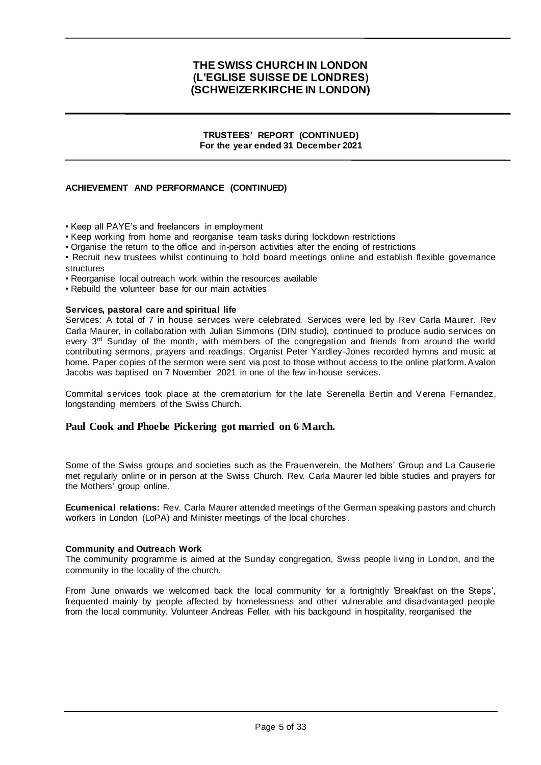### **TRUSTEES' REPORT (CONTINUED) For the year ended 31 December 2021**

## **ACHIEVEMENT AND PERFORMANCE (CONTINUED)**

• Keep all PAYE's and freelancers in employment

• Keep working from home and reorganise team tasks during lockdown restrictions

• Organise the return to the office and in-person activities after the ending of restrictions

• Recruit new trustees whilst continuing to hold board meetings online and establish flexible governance structures

• Reorganise local outreach work within the resources available

• Rebuild the volunteer base for our main activities

#### **Services, pastoral care and spiritual life**

Services: A total of 7 in house services were celebrated. Services were led by Rev Carla Maurer. Rev Carla Maurer, in collaboration with Julian Simmons (DIN studio), continued to produce audio services on every 3<sup>rd</sup> Sunday of the month, with members of the congregation and friends from around the world contributing sermons, prayers and readings. Organist Peter Yardley-Jones recorded hymns and music at home. Paper copies of the sermon were sent via post to those without access to the online platform. Avalon Jacobs was baptised on 7 November 2021 in one of the few in-house services.

Commital services took place at the crematorium for the late Serenella Bertin and Verena Fernandez, longstanding members of the Swiss Church.

## **Paul Cook and Phoebe Pickering got married on 6 March.**

Some of the Swiss groups and societies such as the Frauenverein, the Mothers' Group and La Causerie met regularly online or in person at the Swiss Church. Rev. Carla Maurer led bible studies and prayers for the Mothers' group online.

**Ecumenical relations:** Rev. Carla Maurer attended meetings of the German speaking pastors and church workers in London (LoPA) and Minister meetings of the local churches.

### **Community and Outreach Work**

The community programme is aimed at the Sunday congregation, Swiss people living in London, and the community in the locality of the church.

From June onwards we welcomed back the local community for a fortnightly 'Breakfast on the Steps', frequented mainly by people affected by homelessness and other vulnerable and disadvantaged people from the local community. Volunteer Andreas Feller, with his backgound in hospitality, reorganised the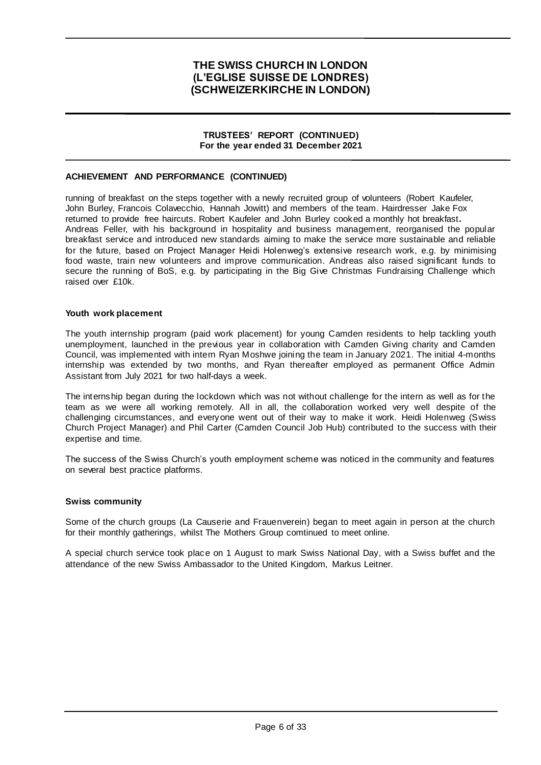### **TRUSTEES' REPORT (CONTINUED) For the year ended 31 December 2021**

## **ACHIEVEMENT AND PERFORMANCE (CONTINUED)**

running of breakfast on the steps together with a newly recruited group of volunteers (Robert Kaufeler, John Burley, Francois Colavecchio, Hannah Jowitt) and members of the team. Hairdresser Jake Fox returned to provide free haircuts. Robert Kaufeler and John Burley cooked a monthly hot breakfast**.**  Andreas Feller, with his background in hospitality and business management, reorganised the popular breakfast service and introduced new standards aiming to make the service more sustainable and reliable for the future, based on Project Manager Heidi Holenweg's extensive research work, e.g. by minimising food waste, train new volunteers and improve communication. Andreas also raised significant funds to secure the running of BoS, e.g. by participating in the Big Give Christmas Fundraising Challenge which raised over £10k

#### **Youth work placement**

The youth internship program (paid work placement) for young Camden residents to help tackling youth unemployment, launched in the previous year in collaboration with Camden Giving charity and Camden Council, was implemented with intern Ryan Moshwe joining the team in January 2021. The initial 4-months internship was extended by two months, and Ryan thereafter employed as permanent Office Admin Assistant from July 2021 for two half-days a week.

The internship began during the lockdown which was not without challenge for the intern as well as for the team as we were all working remotely. All in all, the collaboration worked very well despite of the challenging circumstances, and everyone went out of their way to make it work. Heidi Holenweg (Swiss Church Project Manager) and Phil Carter (Camden Council Job Hub) contributed to the success with their expertise and time.

The success of the Swiss Church's youth employment scheme was noticed in the community and features on several best practice platforms.

#### **Swiss community**

Some of the church groups (La Causerie and Frauenverein) began to meet again in person at the church for their monthly gatherings, whilst The Mothers Group comtinued to meet online.

A special church service took place on 1 August to mark Swiss National Day, with a Swiss buffet and the attendance of the new Swiss Ambassador to the United Kingdom, Markus Leitner.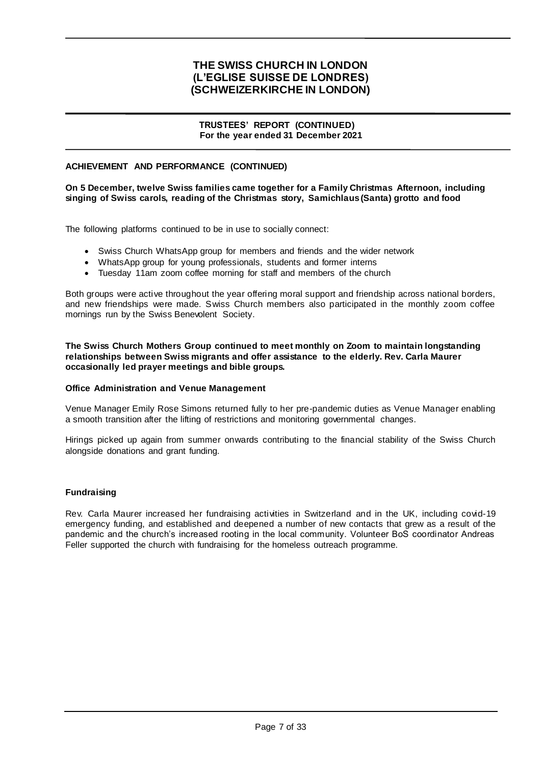### **TRUSTEES' REPORT (CONTINUED) For the year ended 31 December 2021**

## **ACHIEVEMENT AND PERFORMANCE (CONTINUED)**

### **On 5 December, twelve Swiss families came together for a Family Christmas Afternoon, including singing of Swiss carols, reading of the Christmas story, Samichlaus (Santa) grotto and food**

The following platforms continued to be in use to socially connect:

- Swiss Church WhatsApp group for members and friends and the wider network
- WhatsApp group for young professionals, students and former interns
- Tuesday 11am zoom coffee morning for staff and members of the church

Both groups were active throughout the year offering moral support and friendship across national borders, and new friendships were made. Swiss Church members also participated in the monthly zoom coffee mornings run by the Swiss Benevolent Society.

**The Swiss Church Mothers Group continued to meet monthly on Zoom to maintain longstanding relationships between Swiss migrants and offer assistance to the elderly. Rev. Carla Maurer occasionally led prayer meetings and bible groups.**

#### **Office Administration and Venue Management**

Venue Manager Emily Rose Simons returned fully to her pre-pandemic duties as Venue Manager enabling a smooth transition after the lifting of restrictions and monitoring governmental changes.

Hirings picked up again from summer onwards contributing to the financial stability of the Swiss Church alongside donations and grant funding.

#### **Fundraising**

Rev. Carla Maurer increased her fundraising activities in Switzerland and in the UK, including covid-19 emergency funding, and established and deepened a number of new contacts that grew as a result of the pandemic and the church's increased rooting in the local community. Volunteer BoS coordinator Andreas Feller supported the church with fundraising for the homeless outreach programme.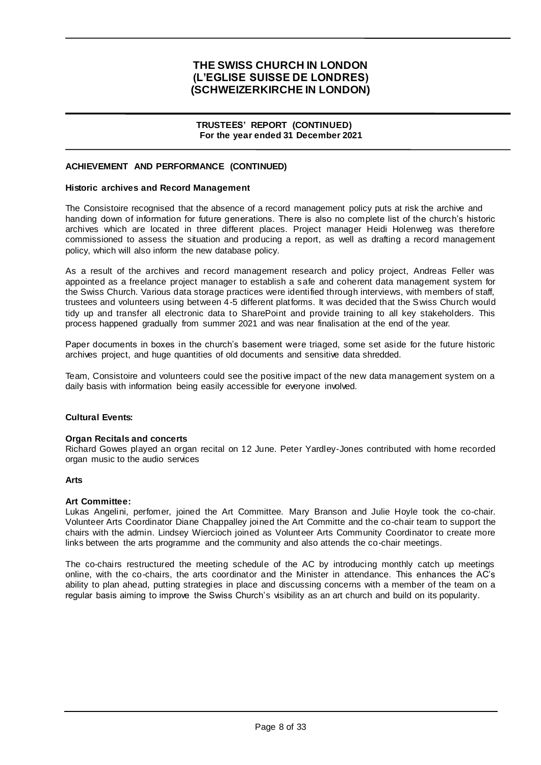#### **TRUSTEES' REPORT (CONTINUED) For the year ended 31 December 2021**

### **ACHIEVEMENT AND PERFORMANCE (CONTINUED)**

#### **Historic archives and Record Management**

The Consistoire recognised that the absence of a record management policy puts at risk the archive and handing down of information for future generations. There is also no complete list of the church's historic archives which are located in three different places. Project manager Heidi Holenweg was therefore commissioned to assess the situation and producing a report, as well as drafting a record management policy, which will also inform the new database policy.

As a result of the archives and record management research and policy project, Andreas Feller was appointed as a freelance project manager to establish a safe and coherent data management system for the Swiss Church. Various data storage practices were identified through interviews, with members of staff, trustees and volunteers using between 4-5 different platforms. It was decided that the Swiss Church would tidy up and transfer all electronic data to SharePoint and provide training to all key stakeholders. This process happened gradually from summer 2021 and was near finalisation at the end of the year.

Paper documents in boxes in the church's basement were triaged, some set aside for the future historic archives project, and huge quantities of old documents and sensitive data shredded.

Team, Consistoire and volunteers could see the positive impact of the new data management system on a daily basis with information being easily accessible for everyone involved.

#### **Cultural Events:**

#### **Organ Recitals and concerts**

Richard Gowes played an organ recital on 12 June. Peter Yardley-Jones contributed with home recorded organ music to the audio services

#### **Arts**

#### **Art Committee:**

Lukas Angelini, perfomer, joined the Art Committee. Mary Branson and Julie Hoyle took the co-chair. Volunteer Arts Coordinator Diane Chappalley joined the Art Committe and the co-chair team to support the chairs with the admin. Lindsey Wiercioch joined as Volunteer Arts Community Coordinator to create more links between the arts programme and the community and also attends the co-chair meetings.

The co-chairs restructured the meeting schedule of the AC by introducing monthly catch up meetings online, with the co-chairs, the arts coordinator and the Minister in attendance. This enhances the AC's ability to plan ahead, putting strategies in place and discussing concerns with a member of the team on a regular basis aiming to improve the Swiss Church's visibility as an art church and build on its popularity.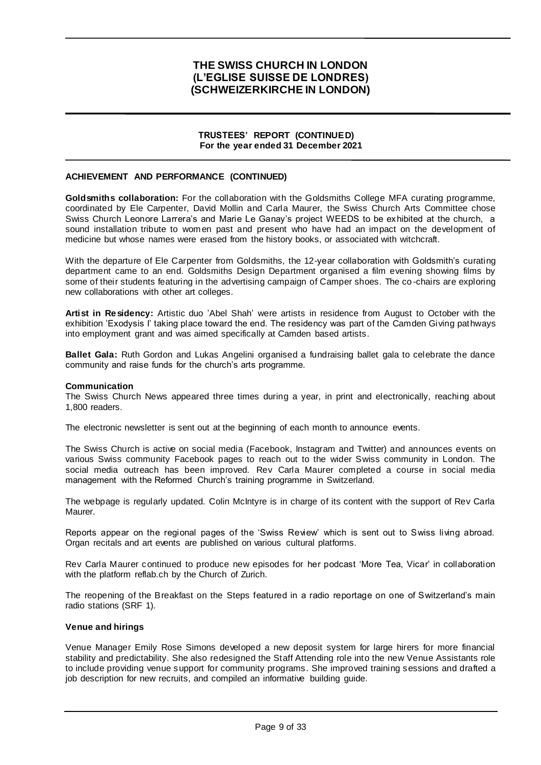#### **TRUSTEES' REPORT (CONTINUED) For the year ended 31 December 2021**

### **ACHIEVEMENT AND PERFORMANCE (CONTINUED)**

**Goldsmiths collaboration:** For the collaboration with the Goldsmiths College MFA curating programme, coordinated by Ele Carpenter, David Mollin and Carla Maurer, the Swiss Church Arts Committee chose Swiss Church Leonore Larrera's and Marie Le Ganay's project WEEDS to be exhibited at the church, a sound installation tribute to women past and present who have had an impact on the development of medicine but whose names were erased from the history books, or associated with witchcraft.

With the departure of Ele Carpenter from Goldsmiths, the 12-year collaboration with Goldsmith's curating department came to an end. Goldsmiths Design Department organised a film evening showing films by some of their students featuring in the advertising campaign of Camper shoes. The co -chairs are exploring new collaborations with other art colleges.

**Artist in Residency:** Artistic duo 'Abel Shah' were artists in residence from August to October with the exhibition 'Exodysis I' taking place toward the end. The residency was part of the Camden Giving pathways into employment grant and was aimed specifically at Camden based artists.

**Ballet Gala:** Ruth Gordon and Lukas Angelini organised a fundraising ballet gala to celebrate the dance community and raise funds for the church's arts programme.

#### **Communication**

The Swiss Church News appeared three times during a year, in print and electronically, reaching about 1,800 readers.

The electronic newsletter is sent out at the beginning of each month to announce events.

The Swiss Church is active on social media (Facebook, Instagram and Twitter) and announces events on various Swiss community Facebook pages to reach out to the wider Swiss community in London. The social media outreach has been improved. Rev Carla Maurer completed a course in social media management with the Reformed Church's training programme in Switzerland.

The webpage is regularly updated. Colin McIntyre is in charge of its content with the support of Rev Carla Maurer.

Reports appear on the regional pages of the 'Swiss Review' which is sent out to Swiss living abroad. Organ recitals and art events are published on various cultural platforms.

Rev Carla Maurer continued to produce new episodes for her podcast 'More Tea, Vicar' in collaboration with the platform reflab.ch by the Church of Zurich.

The reopening of the Breakfast on the Steps featured in a radio reportage on one of Switzerland's main radio stations (SRF 1).

#### **Venue and hirings**

Venue Manager Emily Rose Simons developed a new deposit system for large hirers for more financial stability and predictability. She also redesigned the Staff Attending role into the new Venue Assistants role to include providing venue support for community programs. She improved training sessions and drafted a job description for new recruits, and compiled an informative building guide.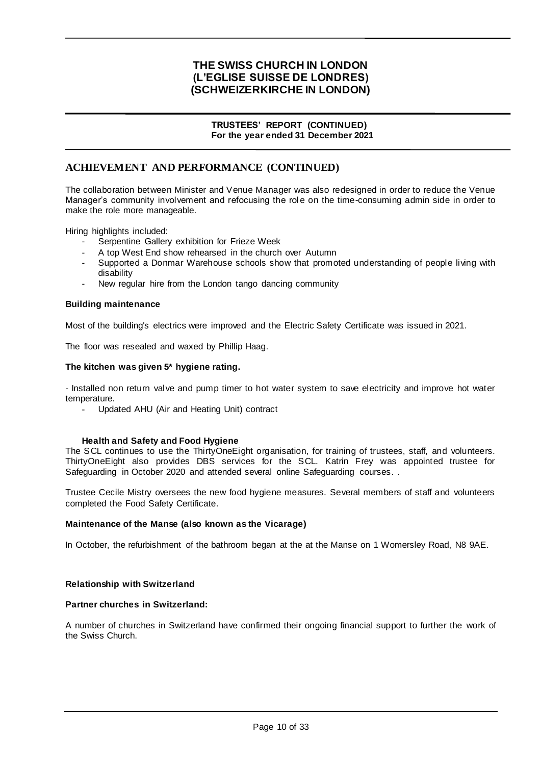### **TRUSTEES' REPORT (CONTINUED) For the year ended 31 December 2021**

# **ACHIEVEMENT AND PERFORMANCE (CONTINUED)**

The collaboration between Minister and Venue Manager was also redesigned in order to reduce the Venue Manager's community involvement and refocusing the role on the time-consuming admin side in order to make the role more manageable.

Hiring highlights included:

- Serpentine Gallery exhibition for Frieze Week
- A top West End show rehearsed in the church over Autumn
- Supported a Donmar Warehouse schools show that promoted understanding of people living with disability
- New regular hire from the London tango dancing community

#### **Building maintenance**

Most of the building's electrics were improved and the Electric Safety Certificate was issued in 2021.

The floor was resealed and waxed by Phillip Haag.

#### **The kitchen was given 5\* hygiene rating.**

- Installed non return valve and pump timer to hot water system to save electricity and improve hot water temperature.

- Updated AHU (Air and Heating Unit) contract

#### **Health and Safety and Food Hygiene**

The SCL continues to use the ThirtyOneEight organisation, for training of trustees, staff, and volunteers. ThirtyOneEight also provides DBS services for the SCL. Katrin Frey was appointed trustee for Safeguarding in October 2020 and attended several online Safeguarding courses. .

Trustee Cecile Mistry oversees the new food hygiene measures. Several members of staff and volunteers completed the Food Safety Certificate.

#### **Maintenance of the Manse (also known as the Vicarage)**

In October, the refurbishment of the bathroom began at the at the Manse on 1 Womersley Road, N8 9AE.

#### **Relationship with Switzerland**

### **Partner churches in Switzerland:**

A number of churches in Switzerland have confirmed their ongoing financial support to further the work of the Swiss Church.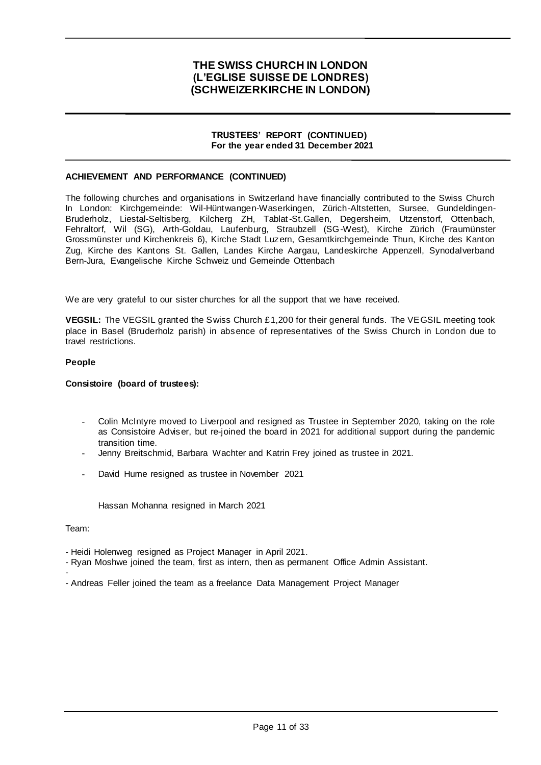### **TRUSTEES' REPORT (CONTINUED) For the year ended 31 December 2021**

### **ACHIEVEMENT AND PERFORMANCE (CONTINUED)**

The following churches and organisations in Switzerland have financially contributed to the Swiss Church In London: Kirchgemeinde: Wil-Hüntwangen-Waserkingen, Zürich-Altstetten, Sursee, Gundeldingen-Bruderholz, Liestal-Seltisberg, Kilcherg ZH, Tablat-St.Gallen, Degersheim, Utzenstorf, Ottenbach, Fehraltorf, Wil (SG), Arth-Goldau, Laufenburg, Straubzell (SG-West), Kirche Zürich (Fraumünster Grossmünster und Kirchenkreis 6), Kirche Stadt Luzern, Gesamtkirchgemeinde Thun, Kirche des Kanton Zug, Kirche des Kantons St. Gallen, Landes Kirche Aargau, Landeskirche Appenzell, Synodalverband Bern-Jura, Evangelische Kirche Schweiz und Gemeinde Ottenbach

We are very grateful to our sister churches for all the support that we have received.

**VEGSIL:** The VEGSIL granted the Swiss Church £1,200 for their general funds. The VEGSIL meeting took place in Basel (Bruderholz parish) in absence of representatives of the Swiss Church in London due to travel restrictions.

#### **People**

#### **Consistoire (board of trustees):**

- Colin McIntyre moved to Liverpool and resigned as Trustee in September 2020, taking on the role as Consistoire Adviser, but re-joined the board in 2021 for additional support during the pandemic transition time.
- Jenny Breitschmid, Barbara Wachter and Katrin Frey joined as trustee in 2021.
- David Hume resigned as trustee in November 2021

Hassan Mohanna resigned in March 2021

Team:

-

- Heidi Holenweg resigned as Project Manager in April 2021.

- Ryan Moshwe joined the team, first as intern, then as permanent Office Admin Assistant.
- Andreas Feller joined the team as a freelance Data Management Project Manager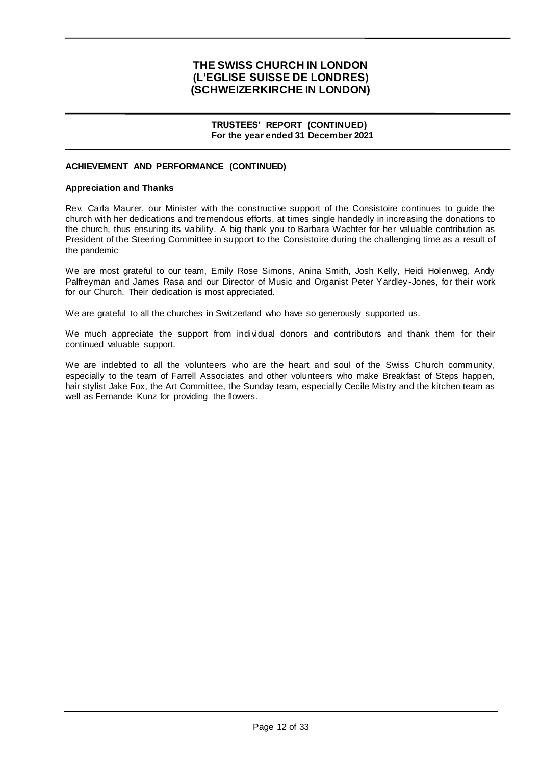#### **TRUSTEES' REPORT (CONTINUED) For the year ended 31 December 2021**

## **ACHIEVEMENT AND PERFORMANCE (CONTINUED)**

#### **Appreciation and Thanks**

Rev. Carla Maurer, our Minister with the constructive support of the Consistoire continues to guide the church with her dedications and tremendous efforts, at times single handedly in increasing the donations to the church, thus ensuring its viability. A big thank you to Barbara Wachter for her valuable contribution as President of the Steering Committee in support to the Consistoire during the challenging time as a result of the pandemic

We are most grateful to our team, Emily Rose Simons, Anina Smith, Josh Kelly, Heidi Holenweg, Andy Palfreyman and James Rasa and our Director of Music and Organist Peter Yardley -Jones, for their work for our Church. Their dedication is most appreciated.

We are grateful to all the churches in Switzerland who have so generously supported us.

We much appreciate the support from individual donors and contributors and thank them for their continued valuable support.

We are indebted to all the volunteers who are the heart and soul of the Swiss Church community, especially to the team of Farrell Associates and other volunteers who make Breakfast of Steps happen, hair stylist Jake Fox, the Art Committee, the Sunday team, especially Cecile Mistry and the kitchen team as well as Fernande Kunz for providing the flowers.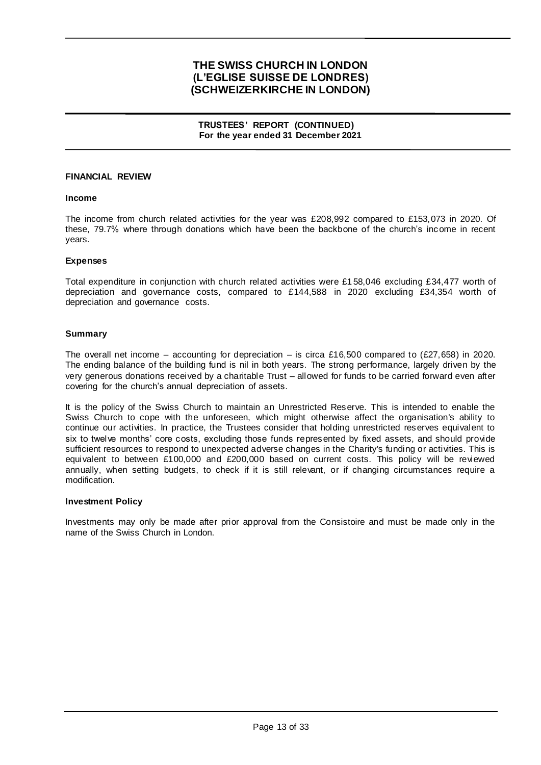**TRUSTEES' REPORT (CONTINUED) For the year ended 31 December 2021**

### **FINANCIAL REVIEW**

#### **Income**

The income from church related activities for the year was £208,992 compared to £153,073 in 2020. Of these, 79.7% where through donations which have been the backbone of the church's income in recent years.

#### **Expenses**

Total expenditure in conjunction with church related activities were £1 58,046 excluding £34,477 worth of depreciation and governance costs, compared to £144,588 in 2020 excluding £34,354 worth of depreciation and governance costs.

#### **Summary**

The overall net income – accounting for depreciation – is circa £16,500 compared to (£27,658) in 2020. The ending balance of the building fund is nil in both years. The strong performance, largely driven by the very generous donations received by a charitable Trust – allowed for funds to be carried forward even after covering for the church's annual depreciation of assets.

It is the policy of the Swiss Church to maintain an Unrestricted Reserve. This is intended to enable the Swiss Church to cope with the unforeseen, which might otherwise affect the organisation's ability to continue our activities. In practice, the Trustees consider that holding unrestricted reserves equivalent to six to twelve months' core costs, excluding those funds represented by fixed assets, and should provide sufficient resources to respond to unexpected adverse changes in the Charity's funding or activities. This is equivalent to between £100,000 and £200,000 based on current costs. This policy will be reviewed annually, when setting budgets, to check if it is still relevant, or if changing circumstances require a modification.

#### **Investment Policy**

Investments may only be made after prior approval from the Consistoire and must be made only in the name of the Swiss Church in London.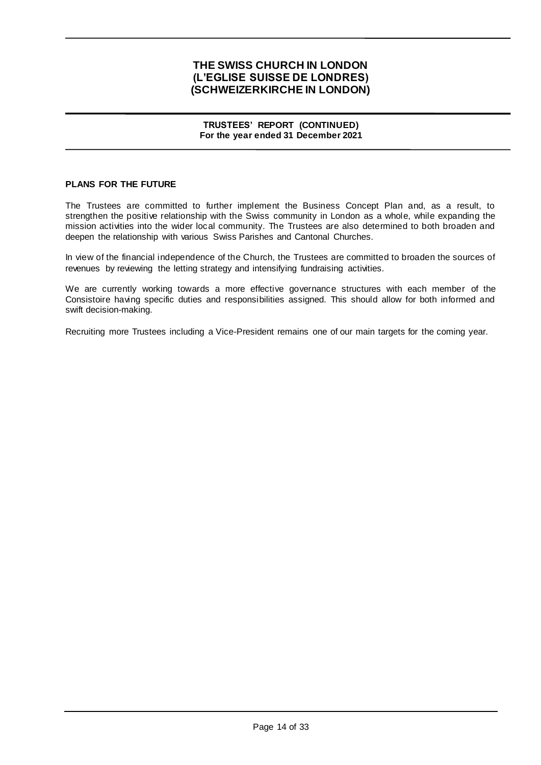### **TRUSTEES' REPORT (CONTINUED) For the year ended 31 December 2021**

## **PLANS FOR THE FUTURE**

The Trustees are committed to further implement the Business Concept Plan and, as a result, to strengthen the positive relationship with the Swiss community in London as a whole, while expanding the mission activities into the wider local community. The Trustees are also determined to both broaden and deepen the relationship with various Swiss Parishes and Cantonal Churches.

In view of the financial independence of the Church, the Trustees are committed to broaden the sources of revenues by reviewing the letting strategy and intensifying fundraising activities.

We are currently working towards a more effective governance structures with each member of the Consistoire having specific duties and responsibilities assigned. This should allow for both informed and swift decision-making.

Recruiting more Trustees including a Vice-President remains one of our main targets for the coming year.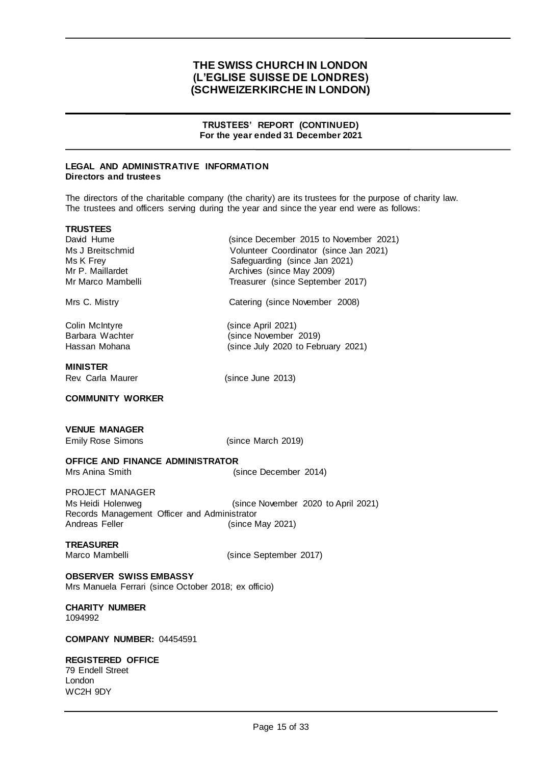### **TRUSTEES' REPORT (CONTINUED) For the year ended 31 December 2021**

Archives (since May 2009)

(since November 2019)

(since December 2015 to November 2021)

#### **LEGAL AND ADMINISTRATIVE INFORMATION Directors and trustees**

The directors of the charitable company (the charity) are its trustees for the purpose of charity law. The trustees and officers serving during the year and since the year end were as follows:

| IRUSIEES |            |  |
|----------|------------|--|
|          | David Hume |  |

**TRUSTEES**

Ms J Breitschmid Volunteer Coordinator (since Jan 2021) Ms K Frey Safeguarding (since Jan 2021)<br>Mr P. Maillardet Safeguarding (since May 2009) Mr Marco Mambelli Treasurer (since September 2017)

Mrs C. Mistry **Catering (since November 2008)** 

Colin McIntyre (since April 2021)<br>Barbara Wachter (since November Hassan Mohana (since July 2020 to February 2021)

## **MINISTER**

Rev. Carla Maurer (since June 2013)

## **COMMUNITY WORKER**

## **VENUE MANAGER**

Emily Rose Simons (since March 2019)

## **OFFICE AND FINANCE ADMINISTRATOR**

Mrs Anina Smith (since December 2014)

PROJECT MANAGER Ms Heidi Holenweg (since November 2020 to April 2021) Records Management Officer and Administrator Andreas Feller (since May 2021)

## **TREASURER**

Marco Mambelli (since September 2017)

#### **OBSERVER SWISS EMBASSY** Mrs Manuela Ferrari (since October 2018; ex officio)

**CHARITY NUMBER** 1094992

#### **COMPANY NUMBER:** 04454591

## **REGISTERED OFFICE**

79 Endell Street London WC2H 9DY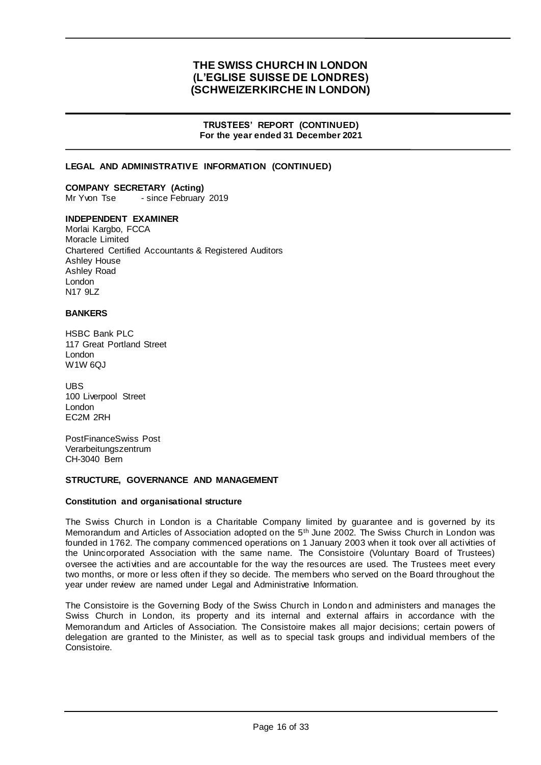### **TRUSTEES' REPORT (CONTINUED) For the year ended 31 December 2021**

## **LEGAL AND ADMINISTRATIVE INFORMATION (CONTINUED)**

**COMPANY SECRETARY (Acting)** Mr Yvon Tse - since February 2019

## **INDEPENDENT EXAMINER**

Morlai Kargbo, FCCA Moracle Limited Chartered Certified Accountants & Registered Auditors Ashley House Ashley Road London N<sub>17</sub> 9L<sub>7</sub>

### **BANKERS**

HSBC Bank PLC 117 Great Portland Street London W<sub>1</sub>W 6QJ

UBS 100 Liverpool Street London EC2M 2RH

PostFinanceSwiss Post Verarbeitungszentrum CH-3040 Bern

#### **STRUCTURE, GOVERNANCE AND MANAGEMENT**

### **Constitution and organisational structure**

The Swiss Church in London is a Charitable Company limited by guarantee and is governed by its Memorandum and Articles of Association adopted on the 5<sup>th</sup> June 2002. The Swiss Church in London was founded in 1762. The company commenced operations on 1 January 2003 when it took over all activities of the Unincorporated Association with the same name. The Consistoire (Voluntary Board of Trustees) oversee the activities and are accountable for the way the resources are used. The Trustees meet every two months, or more or less often if they so decide. The members who served on the Board throughout the year under review are named under Legal and Administrative Information.

The Consistoire is the Governing Body of the Swiss Church in London and administers and manages the Swiss Church in London, its property and its internal and external affairs in accordance with the Memorandum and Articles of Association. The Consistoire makes all major decisions; certain powers of delegation are granted to the Minister, as well as to special task groups and individual members of the Consistoire.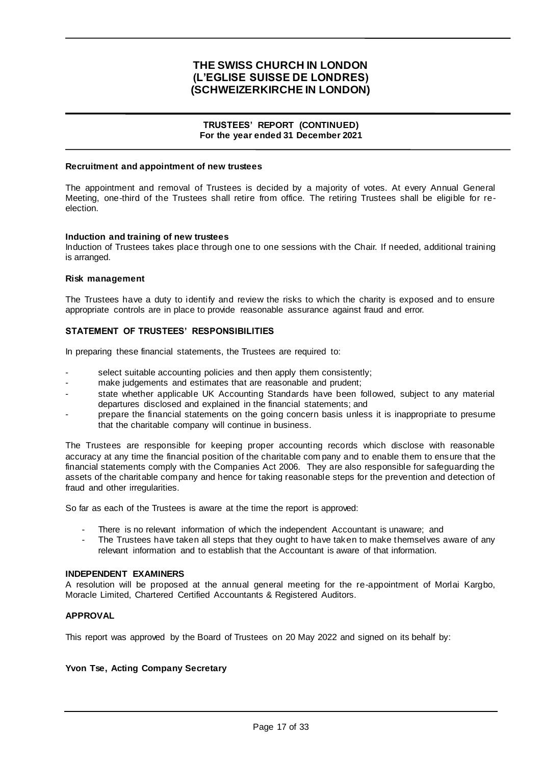### **TRUSTEES' REPORT (CONTINUED) For the year ended 31 December 2021**

#### **Recruitment and appointment of new trustees**

The appointment and removal of Trustees is decided by a majority of votes. At every Annual General Meeting, one-third of the Trustees shall retire from office. The retiring Trustees shall be eligible for reelection.

#### **Induction and training of new trustees**

Induction of Trustees takes place through one to one sessions with the Chair. If needed, additional training is arranged.

#### **Risk management**

The Trustees have a duty to identify and review the risks to which the charity is exposed and to ensure appropriate controls are in place to provide reasonable assurance against fraud and error.

## **STATEMENT OF TRUSTEES' RESPONSIBILITIES**

In preparing these financial statements, the Trustees are required to:

- select suitable accounting policies and then apply them consistently;
- make judgements and estimates that are reasonable and prudent;
- state whether applicable UK Accounting Standards have been followed, subject to any material departures disclosed and explained in the financial statements; and
- prepare the financial statements on the going concern basis unless it is inappropriate to presume that the charitable company will continue in business.

The Trustees are responsible for keeping proper accounting records which disclose with reasonable accuracy at any time the financial position of the charitable com pany and to enable them to ensure that the financial statements comply with the Companies Act 2006. They are also responsible for safeguarding the assets of the charitable company and hence for taking reasonable steps for the prevention and detection of fraud and other irregularities.

So far as each of the Trustees is aware at the time the report is approved:

- There is no relevant information of which the independent Accountant is unaware; and
- The Trustees have taken all steps that they ought to have taken to make themselves aware of any relevant information and to establish that the Accountant is aware of that information.

#### **INDEPENDENT EXAMINERS**

A resolution will be proposed at the annual general meeting for the re-appointment of Morlai Kargbo, Moracle Limited, Chartered Certified Accountants & Registered Auditors.

## **APPROVAL**

This report was approved by the Board of Trustees on 20 May 2022 and signed on its behalf by:

#### **Yvon Tse, Acting Company Secretary**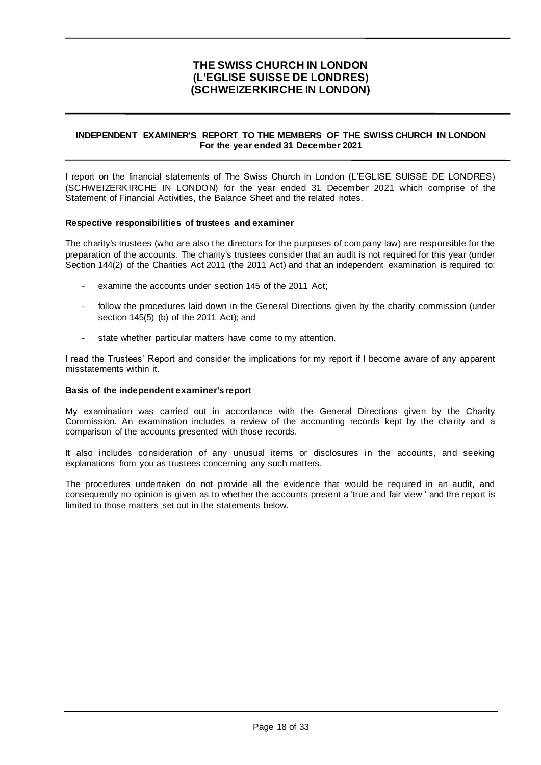## **INDEPENDENT EXAMINER'S REPORT TO THE MEMBERS OF THE SWISS CHURCH IN LONDON For the year ended 31 December 2021**

I report on the financial statements of The Swiss Church in London (L'EGLISE SUISSE DE LONDRES) (SCHWEIZERKIRCHE IN LONDON) for the year ended 31 December 2021 which comprise of the Statement of Financial Activities, the Balance Sheet and the related notes.

### **Respective responsibilities of trustees and examiner**

The charity's trustees (who are also the directors for the purposes of company law) are responsible for the preparation of the accounts. The charity's trustees consider that an audit is not required for this year (under Section 144(2) of the Charities Act 2011 (the 2011 Act) and that an independent examination is required to:

- examine the accounts under section 145 of the 2011 Act:
- follow the procedures laid down in the General Directions given by the charity commission (under section 145(5) (b) of the 2011 Act); and
- state whether particular matters have come to my attention.

I read the Trustees' Report and consider the implications for my report if I become aware of any apparent misstatements within it.

#### **Basis of the independent examiner's report**

My examination was carried out in accordance with the General Directions given by the Charity Commission. An examination includes a review of the accounting records kept by the charity and a comparison of the accounts presented with those records.

It also includes consideration of any unusual items or disclosures in the accounts, and seeking explanations from you as trustees concerning any such matters.

The procedures undertaken do not provide all the evidence that would be required in an audit, and consequently no opinion is given as to whether the accounts present a 'true and fair view ' and the report is limited to those matters set out in the statements below.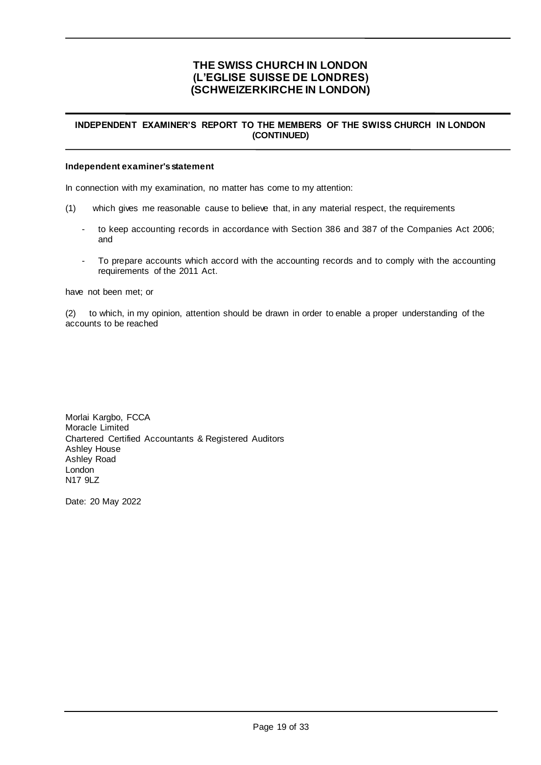### **INDEPENDENT EXAMINER'S REPORT TO THE MEMBERS OF THE SWISS CHURCH IN LONDON (CONTINUED)**

#### **Independent examiner's statement**

In connection with my examination, no matter has come to my attention:

- (1) which gives me reasonable cause to believe that, in any material respect, the requirements
	- to keep accounting records in accordance with Section 386 and 387 of the Companies Act 2006; and
	- To prepare accounts which accord with the accounting records and to comply with the accounting requirements of the 2011 Act.

have not been met; or

(2) to which, in my opinion, attention should be drawn in order to enable a proper understanding of the accounts to be reached

Morlai Kargbo, FCCA Moracle Limited Chartered Certified Accountants & Registered Auditors Ashley House Ashley Road London N17 9LZ

Date: 20 May 2022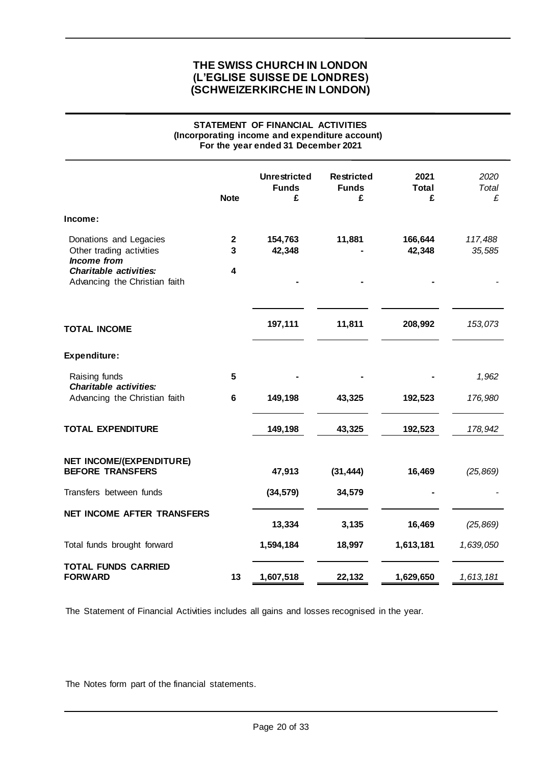### **STATEMENT OF FINANCIAL ACTIVITIES (Incorporating income and expenditure account) For the year ended 31 December 2021**

|                                                                                                                                            | <b>Note</b>            | <b>Unrestricted</b><br><b>Funds</b><br>£ | <b>Restricted</b><br><b>Funds</b><br>£ | 2021<br>Total<br>£ | 2020<br>Total<br>£ |
|--------------------------------------------------------------------------------------------------------------------------------------------|------------------------|------------------------------------------|----------------------------------------|--------------------|--------------------|
| Income:                                                                                                                                    |                        |                                          |                                        |                    |                    |
| Donations and Legacies<br>Other trading activities<br><b>Income</b> from<br><b>Charitable activities:</b><br>Advancing the Christian faith | $\mathbf{2}$<br>3<br>4 | 154,763<br>42,348                        | 11,881                                 | 166,644<br>42,348  | 117,488<br>35,585  |
|                                                                                                                                            |                        |                                          |                                        |                    |                    |
| <b>TOTAL INCOME</b>                                                                                                                        |                        | 197,111                                  | 11,811                                 | 208,992            | 153,073            |
| Expenditure:                                                                                                                               |                        |                                          |                                        |                    |                    |
| Raising funds<br><b>Charitable activities:</b>                                                                                             | 5                      |                                          |                                        |                    | 1,962              |
| Advancing the Christian faith                                                                                                              | $\bf 6$                | 149,198                                  | 43,325                                 | 192,523            | 176,980            |
| <b>TOTAL EXPENDITURE</b>                                                                                                                   |                        | 149,198                                  | 43,325                                 | 192,523            | 178,942            |
| <b>NET INCOME/(EXPENDITURE)</b><br><b>BEFORE TRANSFERS</b>                                                                                 |                        | 47,913                                   | (31, 444)                              | 16,469             | (25, 869)          |
| Transfers between funds                                                                                                                    |                        | (34, 579)                                | 34,579                                 |                    |                    |
| NET INCOME AFTER TRANSFERS                                                                                                                 |                        | 13,334                                   | 3,135                                  | 16,469             | (25, 869)          |
| Total funds brought forward                                                                                                                |                        | 1,594,184                                | 18,997                                 | 1,613,181          | 1,639,050          |
| <b>TOTAL FUNDS CARRIED</b><br><b>FORWARD</b>                                                                                               | 13                     | 1,607,518                                | 22,132                                 | 1,629,650          | 1,613,181          |

The Statement of Financial Activities includes all gains and losses recognised in the year.

The Notes form part of the financial statements.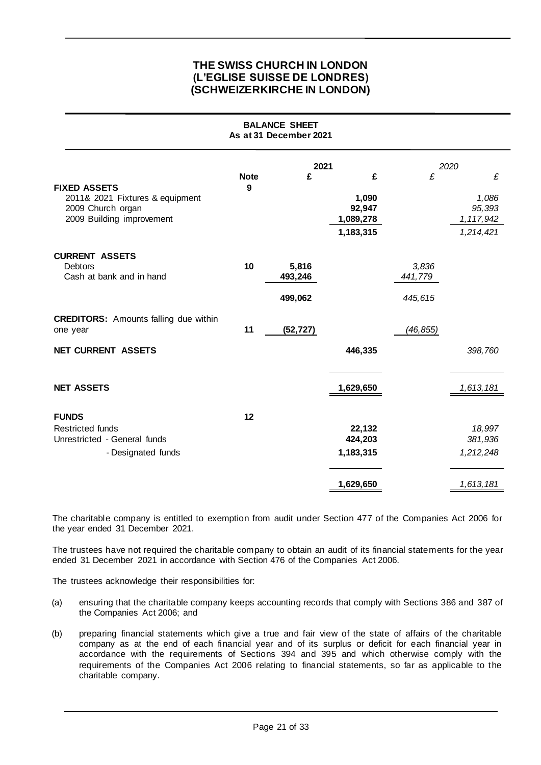| <b>BALANCE SHEET</b><br>As at 31 December 2021                                                           |                  |                             |                                                |                             |                                                  |
|----------------------------------------------------------------------------------------------------------|------------------|-----------------------------|------------------------------------------------|-----------------------------|--------------------------------------------------|
|                                                                                                          | 2021             | 2020                        |                                                |                             |                                                  |
| <b>FIXED ASSETS</b><br>2011& 2021 Fixtures & equipment<br>2009 Church organ<br>2009 Building improvement | <b>Note</b><br>9 | £                           | £<br>1,090<br>92,947<br>1,089,278<br>1,183,315 | £                           | £<br>1,086<br>95,393<br>1, 117, 942<br>1,214,421 |
| <b>CURRENT ASSETS</b><br>Debtors<br>Cash at bank and in hand                                             | 10               | 5,816<br>493,246<br>499,062 |                                                | 3,836<br>441,779<br>445,615 |                                                  |
| <b>CREDITORS:</b> Amounts falling due within<br>one year                                                 | 11               | (52, 727)                   |                                                | (46, 855)                   |                                                  |
| NET CURRENT ASSETS                                                                                       |                  |                             | 446,335                                        |                             | 398,760                                          |
| <b>NET ASSETS</b>                                                                                        |                  |                             | 1,629,650                                      |                             | 1,613,181                                        |
| <b>FUNDS</b><br><b>Restricted funds</b><br>Unrestricted - General funds<br>- Designated funds            | 12               |                             | 22,132<br>424,203<br>1,183,315                 |                             | 18,997<br>381,936<br>1,212,248                   |
|                                                                                                          |                  |                             | 1,629,650                                      |                             | 1,613,181                                        |

The charitable company is entitled to exemption from audit under Section 477 of the Companies Act 2006 for the year ended 31 December 2021.

The trustees have not required the charitable company to obtain an audit of its financial statements for the year ended 31 December 2021 in accordance with Section 476 of the Companies Act 2006.

The trustees acknowledge their responsibilities for:

- (a) ensuring that the charitable company keeps accounting records that comply with Sections 386 and 387 of the Companies Act 2006; and
- (b) preparing financial statements which give a true and fair view of the state of affairs of the charitable company as at the end of each financial year and of its surplus or deficit for each financial year in accordance with the requirements of Sections 394 and 395 and which otherwise comply with the requirements of the Companies Act 2006 relating to financial statements, so far as applicable to the charitable company.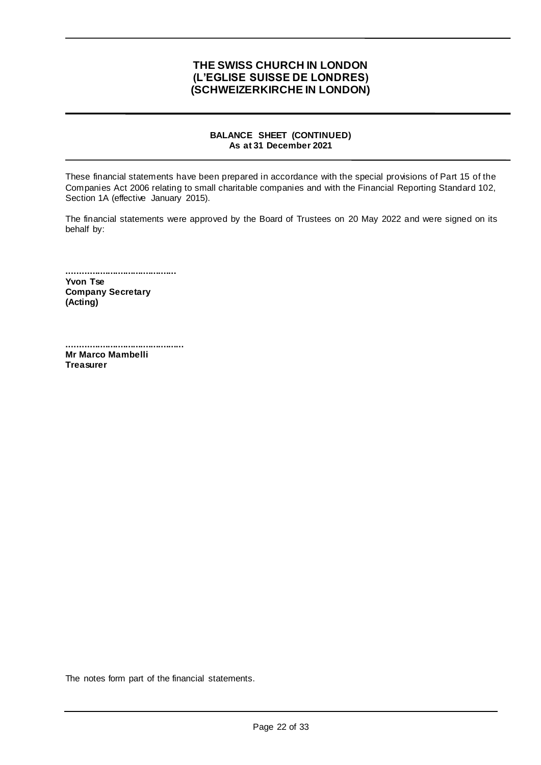## **BALANCE SHEET (CONTINUED) As at 31 December 2021**

These financial statements have been prepared in accordance with the special provisions of Part 15 of the Companies Act 2006 relating to small charitable companies and with the Financial Reporting Standard 102, Section 1A (effective January 2015).

The financial statements were approved by the Board of Trustees on 20 May 2022 and were signed on its behalf by:

**........................................... Yvon Tse Company Secretary (Acting)**

**.............................................. Mr Marco Mambelli Treasurer**

The notes form part of the financial statements.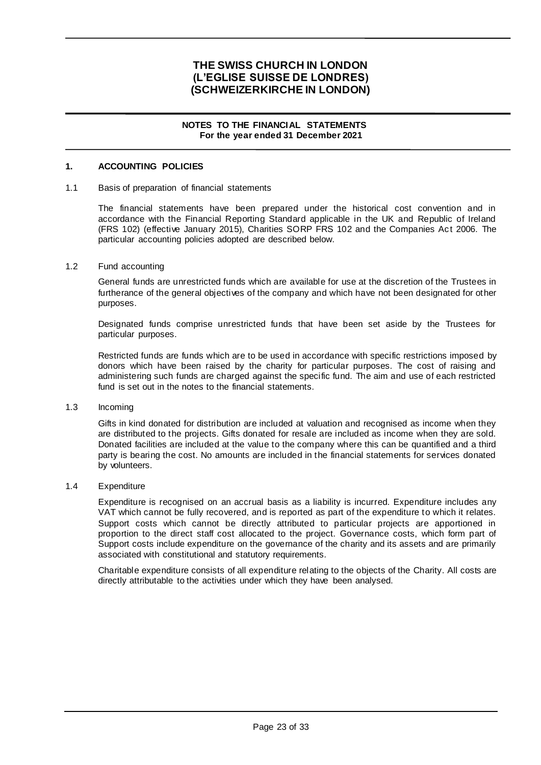### **NOTES TO THE FINANCIAL STATEMENTS For the year ended 31 December 2021**

## **1. ACCOUNTING POLICIES**

#### 1.1 Basis of preparation of financial statements

The financial statements have been prepared under the historical cost convention and in accordance with the Financial Reporting Standard applicable in the UK and Republic of Ireland (FRS 102) (effective January 2015), Charities SORP FRS 102 and the Companies Act 2006. The particular accounting policies adopted are described below.

#### 1.2 Fund accounting

General funds are unrestricted funds which are available for use at the discretion of the Trustees in furtherance of the general objectives of the company and which have not been designated for other purposes.

Designated funds comprise unrestricted funds that have been set aside by the Trustees for particular purposes.

Restricted funds are funds which are to be used in accordance with specific restrictions imposed by donors which have been raised by the charity for particular purposes. The cost of raising and administering such funds are charged against the specific fund. The aim and use of each restricted fund is set out in the notes to the financial statements.

### 1.3 Incoming

Gifts in kind donated for distribution are included at valuation and recognised as income when they are distributed to the projects. Gifts donated for resale are included as income when they are sold. Donated facilities are included at the value to the company where this can be quantified and a third party is bearing the cost. No amounts are included in the financial statements for services donated by volunteers.

#### 1.4 Expenditure

Expenditure is recognised on an accrual basis as a liability is incurred. Expenditure includes any VAT which cannot be fully recovered, and is reported as part of the expenditure to which it relates. Support costs which cannot be directly attributed to particular projects are apportioned in proportion to the direct staff cost allocated to the project. Governance costs, which form part of Support costs include expenditure on the governance of the charity and its assets and are primarily associated with constitutional and statutory requirements.

Charitable expenditure consists of all expenditure relating to the objects of the Charity. All costs are directly attributable to the activities under which they have been analysed.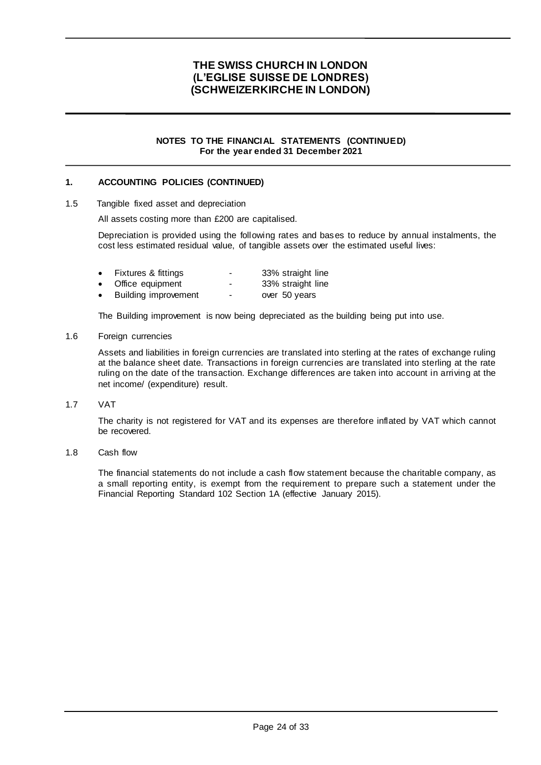#### **NOTES TO THE FINANCIAL STATEMENTS (CONTINUED) For the year ended 31 December 2021**

## **1. ACCOUNTING POLICIES (CONTINUED)**

1.5 Tangible fixed asset and depreciation

All assets costing more than £200 are capitalised.

Depreciation is provided using the following rates and bases to reduce by annual instalments, the cost less estimated residual value, of tangible assets over the estimated useful lives:

- Fixtures & fittings<br>
Office equipment<br>
The S3% straight line<br>  $\frac{33\% \text{ straight line}}{33\% \text{ straight line}}$
- Office equipment 33% straight line over 50 years
- Building improvement

The Building improvement is now being depreciated as the building being put into use.

#### 1.6 Foreign currencies

Assets and liabilities in foreign currencies are translated into sterling at the rates of exchange ruling at the balance sheet date. Transactions in foreign currencies are translated into sterling at the rate ruling on the date of the transaction. Exchange differences are taken into account in arriving at the net income/ (expenditure) result.

1.7 VAT

The charity is not registered for VAT and its expenses are therefore inflated by VAT which cannot be recovered.

1.8 Cash flow

The financial statements do not include a cash flow statement because the charitable company, as a small reporting entity, is exempt from the requirement to prepare such a statement under the Financial Reporting Standard 102 Section 1A (effective January 2015).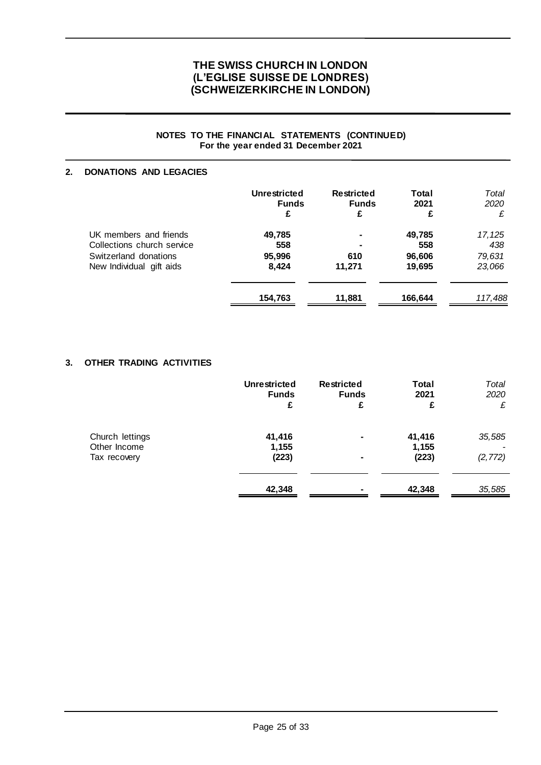### **NOTES TO THE FINANCIAL STATEMENTS (CONTINUED) For the year ended 31 December 2021**

## **2. DONATIONS AND LEGACIES**

|                            | <b>Unrestricted</b><br><b>Funds</b><br>£ | <b>Restricted</b><br><b>Funds</b><br>£ | <b>Total</b><br>2021<br>£ | Total<br>2020<br>£ |
|----------------------------|------------------------------------------|----------------------------------------|---------------------------|--------------------|
| UK members and friends     | 49,785                                   | $\blacksquare$                         | 49,785                    | 17, 125            |
| Collections church service | 558                                      | $\blacksquare$                         | 558                       | 438                |
| Switzerland donations      | 95,996                                   | 610                                    | 96,606                    | 79,631             |
| New Individual gift aids   | 8,424                                    | 11,271                                 | 19,695                    | 23,066             |
|                            | 154,763                                  | 11,881                                 | 166,644                   | 117,488            |

### **3. OTHER TRADING ACTIVITIES**

|                                                 | <b>Unrestricted</b><br><b>Funds</b><br>£ | <b>Restricted</b><br><b>Funds</b><br>£ | <b>Total</b><br>2021<br>£ | Total<br>2020<br>£ |
|-------------------------------------------------|------------------------------------------|----------------------------------------|---------------------------|--------------------|
| Church lettings<br>Other Income<br>Tax recovery | 41,416<br>1,155<br>(223)                 | $\blacksquare$<br>۰                    | 41,416<br>1,155<br>(223)  | 35,585<br>(2, 772) |
|                                                 | 42,348                                   | $\blacksquare$                         | 42,348                    | 35,585             |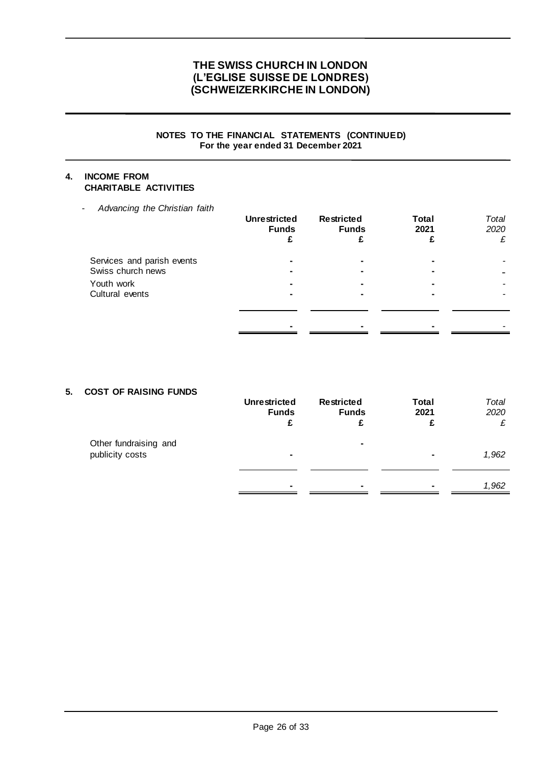### **NOTES TO THE FINANCIAL STATEMENTS (CONTINUED) For the year ended 31 December 2021**

## **4. INCOME FROM CHARITABLE ACTIVITIES**

- *Advancing the Christian faith*

|                                                 | <b>Unrestricted</b><br><b>Funds</b> | <b>Restricted</b><br><b>Funds</b> | <b>Total</b><br>2021 | Total<br>2020<br>£ |
|-------------------------------------------------|-------------------------------------|-----------------------------------|----------------------|--------------------|
| Services and parish events<br>Swiss church news |                                     |                                   |                      |                    |
| Youth work<br>Cultural events                   |                                     |                                   |                      |                    |
|                                                 |                                     |                                   |                      |                    |

## **5. COST OF RAISING FUNDS**

|                                          | <b>Unrestricted</b><br><b>Funds</b> | <b>Restricted</b><br><b>Funds</b> | <b>Total</b><br>2021<br>£ | Total<br>2020<br>£ |
|------------------------------------------|-------------------------------------|-----------------------------------|---------------------------|--------------------|
| Other fundraising and<br>publicity costs | ۰                                   | $\blacksquare$                    |                           | 1,962              |
|                                          |                                     | ٠                                 | $\blacksquare$            | 1,962              |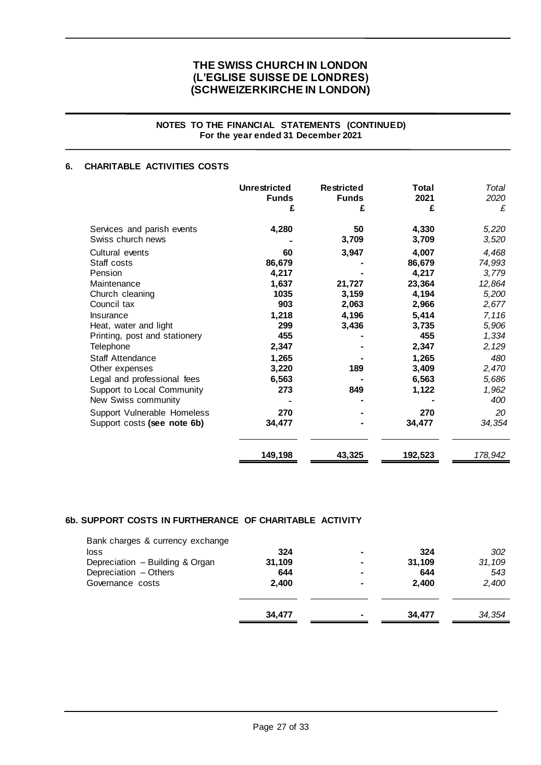### **NOTES TO THE FINANCIAL STATEMENTS (CONTINUED) For the year ended 31 December 2021**

## **6. CHARITABLE ACTIVITIES COSTS**

|                                                                                  | <b>Unrestricted</b> | <b>Restricted</b> | <b>Total</b>          | Total                   |
|----------------------------------------------------------------------------------|---------------------|-------------------|-----------------------|-------------------------|
|                                                                                  | <b>Funds</b>        | <b>Funds</b>      | 2021                  | 2020                    |
|                                                                                  | £                   | £                 | £                     | £                       |
| Services and parish events                                                       | 4,280               | 50                | 4,330                 | 5,220                   |
| Swiss church news                                                                |                     | 3,709             | 3,709                 | 3,520                   |
| Cultural events                                                                  | 60                  | 3,947             | 4,007                 | 4,468                   |
| Staff costs                                                                      | 86,679              |                   | 86,679                | 74,993                  |
| Pension                                                                          | 4,217               |                   | 4,217                 | 3,779                   |
| Maintenance                                                                      | 1,637               | 21,727            | 23,364                | 12,864                  |
| Church cleaning                                                                  | 1035                | 3,159             | 4,194                 | 5,200                   |
| Council tax                                                                      | 903                 | 2,063             | 2,966                 | 2,677                   |
| Insurance<br>Heat, water and light<br>Printing, post and stationery              | 1,218<br>299<br>455 | 4,196<br>3,436    | 5,414<br>3,735<br>455 | 7,116<br>5,906<br>1,334 |
| Telephone                                                                        | 2,347               | 189               | 2,347                 | 2,129                   |
| Staff Attendance                                                                 | 1,265               |                   | 1,265                 | 480                     |
| Other expenses                                                                   | 3,220               |                   | 3,409                 | 2,470                   |
| Legal and professional fees<br>Support to Local Community<br>New Swiss community | 6,563<br>273        | 849               | 6,563<br>1,122        | 5,686<br>1,962<br>400   |
| Support Vulnerable Homeless                                                      | 270                 |                   | 270                   | 20                      |
| Support costs (see note 6b)                                                      | 34,477              |                   | 34,477                | 34,354                  |
|                                                                                  | 149,198             | 43,325            | 192,523               | 178,942                 |

## **6b. SUPPORT COSTS IN FURTHERANCE OF CHARITABLE ACTIVITY**

| Bank charges & currency exchange |        |                |        |        |
|----------------------------------|--------|----------------|--------|--------|
| loss                             | 324    | ٠              | 324    | 302    |
| Depreciation - Building & Organ  | 31,109 | ٠              | 31.109 | 31,109 |
| Depreciation - Others            | 644    | ٠              | 644    | 543    |
| Governance costs                 | 2.400  | $\blacksquare$ | 2.400  | 2,400  |
|                                  | 34,477 | ٠              | 34,477 | 34,354 |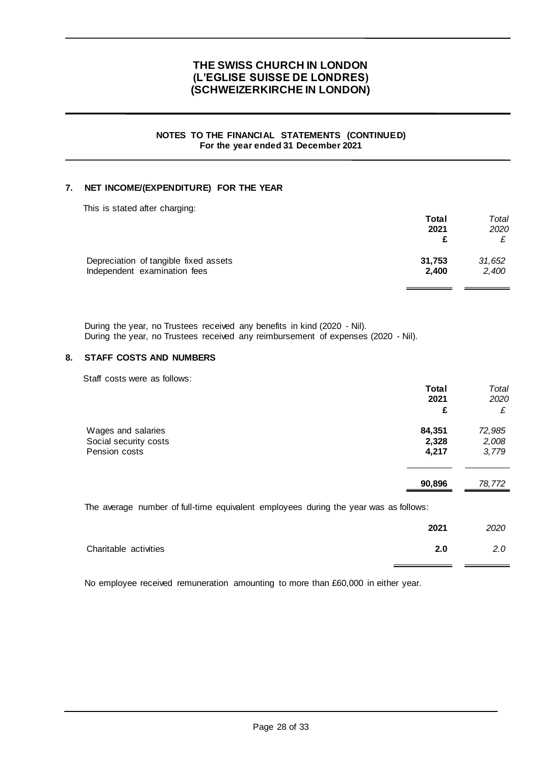### **NOTES TO THE FINANCIAL STATEMENTS (CONTINUED) For the year ended 31 December 2021**

## **7. NET INCOME/(EXPENDITURE) FOR THE YEAR**

| This is stated after charging:        |        |        |
|---------------------------------------|--------|--------|
|                                       | Total  | Total  |
|                                       | 2021   | 2020   |
|                                       |        |        |
| Depreciation of tangible fixed assets | 31,753 | 31,652 |
| Independent examination fees          | 2.400  | 2,400  |

During the year, no Trustees received any benefits in kind (2020 - Nil). During the year, no Trustees received any reimbursement of expenses (2020 - Nil).

### **8. STAFF COSTS AND NUMBERS**

Staff costs were as follows:

|                                                                                      | Total<br>2021 | Total<br>2020 |
|--------------------------------------------------------------------------------------|---------------|---------------|
|                                                                                      | £             | £             |
| Wages and salaries                                                                   | 84,351        | 72,985        |
| Social security costs                                                                | 2,328         | 2,008         |
| Pension costs                                                                        | 4,217         | 3,779         |
|                                                                                      | 90,896        | 78,772        |
| The average number of full-time equivalent employees during the year was as follows: |               |               |
|                                                                                      | 2021          | 2020          |

|                       | 2021 | 2020          |
|-----------------------|------|---------------|
| Charitable activities | 2.0  | $2.0^{\circ}$ |

No employee received remuneration amounting to more than £60,000 in either year.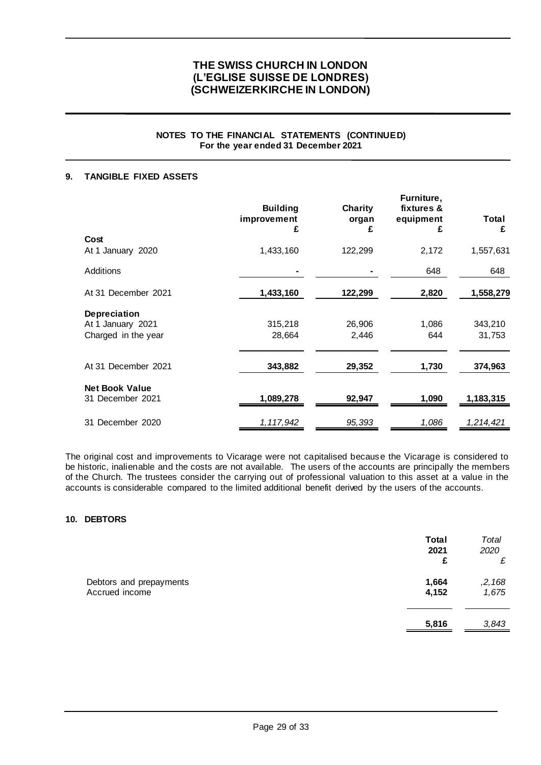## **NOTES TO THE FINANCIAL STATEMENTS (CONTINUED) For the year ended 31 December 2021**

## **9. TANGIBLE FIXED ASSETS**

|                       | <b>Building</b><br>improvement<br>£ | <b>Charity</b><br>organ<br>£ | Furniture,<br>fixtures &<br>equipment<br>£ | Total<br>£ |
|-----------------------|-------------------------------------|------------------------------|--------------------------------------------|------------|
| Cost                  |                                     |                              |                                            |            |
| At 1 January 2020     | 1,433,160                           | 122,299                      | 2,172                                      | 1,557,631  |
| Additions             |                                     |                              | 648                                        | 648        |
| At 31 December 2021   | 1,433,160                           | 122,299                      | 2,820                                      | 1,558,279  |
| <b>Depreciation</b>   |                                     |                              |                                            |            |
| At 1 January 2021     | 315,218                             | 26,906                       | 1,086                                      | 343,210    |
| Charged in the year   | 28,664                              | 2,446                        | 644                                        | 31,753     |
| At 31 December 2021   | 343,882                             | 29,352                       | 1,730                                      | 374,963    |
|                       |                                     |                              |                                            |            |
| <b>Net Book Value</b> |                                     |                              |                                            |            |
| 31 December 2021      | 1,089,278                           | 92,947                       | 1,090                                      | 1,183,315  |
| 31 December 2020      | 1, 117, 942                         | 95,393                       | 1,086                                      | 1,214,421  |

The original cost and improvements to Vicarage were not capitalised because the Vicarage is considered to be historic, inalienable and the costs are not available. The users of the accounts are principally the members of the Church. The trustees consider the carrying out of professional valuation to this asset at a value in the accounts is considerable compared to the limited additional benefit derived by the users of the accounts.

### **10. DEBTORS**

|                                           | <b>Total</b><br>2021<br>£ | Total<br>2020<br>£ |
|-------------------------------------------|---------------------------|--------------------|
| Debtors and prepayments<br>Accrued income | 1,664<br>4,152            | ,2,168<br>1,675    |
|                                           | 5,816                     | 3,843              |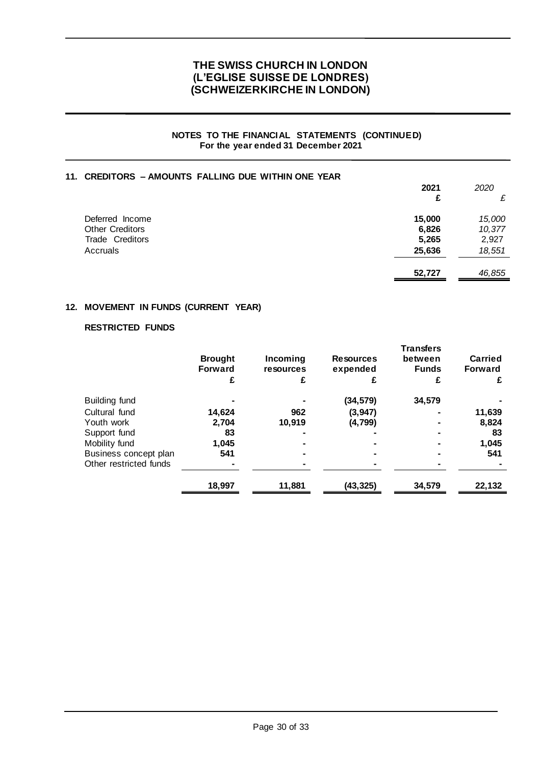### **NOTES TO THE FINANCIAL STATEMENTS (CONTINUED) For the year ended 31 December 2021**

## **11. CREDITORS – AMOUNTS FALLING DUE WITHIN ONE YEAR**

|                        | 2021   | 2020   |
|------------------------|--------|--------|
|                        | £      | £      |
| Deferred Income        | 15,000 | 15,000 |
| <b>Other Creditors</b> | 6,826  | 10,377 |
| Trade Creditors        | 5,265  | 2,927  |
| Accruals               | 25,636 | 18,551 |
|                        | 52,727 | 46,855 |

### **12. MOVEMENT IN FUNDS (CURRENT YEAR)**

## **RESTRICTED FUNDS**

|                        | <b>Brought</b> | Incoming<br><b>Resources</b><br><b>Forward</b><br>expended<br>resources |           | <b>Transfers</b><br>between<br><b>Funds</b> | <b>Carried</b><br><b>Forward</b> |
|------------------------|----------------|-------------------------------------------------------------------------|-----------|---------------------------------------------|----------------------------------|
|                        | £              | £                                                                       | £         | £                                           | £                                |
| Building fund          |                |                                                                         | (34, 579) | 34,579                                      |                                  |
| Cultural fund          | 14,624         | 962                                                                     | (3, 947)  |                                             | 11,639                           |
| Youth work             | 2.704          | 10.919                                                                  | (4,799)   |                                             | 8,824                            |
| Support fund           | 83             |                                                                         |           |                                             | 83                               |
| Mobility fund          | 1,045          |                                                                         |           |                                             | 1,045                            |
| Business concept plan  | 541            |                                                                         |           |                                             | 541                              |
| Other restricted funds |                |                                                                         |           |                                             |                                  |
|                        | 18,997         | 11,881                                                                  | (43,325)  | 34,579                                      | 22,132                           |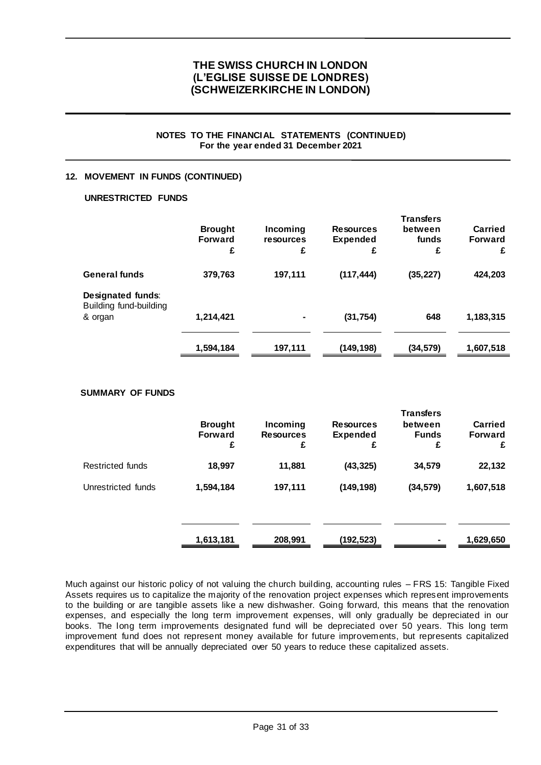### **NOTES TO THE FINANCIAL STATEMENTS (CONTINUED) For the year ended 31 December 2021**

## **12. MOVEMENT IN FUNDS (CONTINUED)**

### **UNRESTRICTED FUNDS**

|                                                        | <b>Brought</b><br><b>Forward</b><br>£ | Incoming<br>resources<br>£ | <b>Resources</b><br>Expended<br>£ | <b>Transfers</b><br>between<br>funds<br>£ | Carried<br><b>Forward</b><br>£ |
|--------------------------------------------------------|---------------------------------------|----------------------------|-----------------------------------|-------------------------------------------|--------------------------------|
| <b>General funds</b>                                   | 379,763                               | 197,111                    | (117, 444)                        | (35, 227)                                 | 424,203                        |
| Designated funds:<br>Building fund-building<br>& organ | 1,214,421                             |                            | (31, 754)                         | 648                                       | 1,183,315                      |
|                                                        | 1,594,184                             | 197,111                    | (149, 198)                        | (34, 579)                                 | 1,607,518                      |

### **SUMMARY OF FUNDS**

|                    | <b>Brought</b><br><b>Forward</b><br>£ | Incoming<br><b>Resources</b><br>£ | <b>Resources</b><br><b>Expended</b><br>£ | <b>Transfers</b><br>between<br><b>Funds</b><br>£ | <b>Carried</b><br><b>Forward</b><br>£ |
|--------------------|---------------------------------------|-----------------------------------|------------------------------------------|--------------------------------------------------|---------------------------------------|
| Restricted funds   | 18,997                                | 11,881                            | (43, 325)                                | 34,579                                           | 22,132                                |
| Unrestricted funds | 1,594,184                             | 197,111                           | (149, 198)                               | (34, 579)                                        | 1,607,518                             |
|                    |                                       |                                   |                                          |                                                  |                                       |
|                    | 1,613,181                             | 208,991                           | (192,523)                                | ۰                                                | 1,629,650                             |

Much against our historic policy of not valuing the church building, accounting rules – FRS 15: Tangible Fixed Assets requires us to capitalize the majority of the renovation project expenses which represent improvements to the building or are tangible assets like a new dishwasher. Going forward, this means that the renovation expenses, and especially the long term improvement expenses, will only gradually be depreciated in our books. The long term improvements designated fund will be depreciated over 50 years. This long term improvement fund does not represent money available for future improvements, but represents capitalized expenditures that will be annually depreciated over 50 years to reduce these capitalized assets.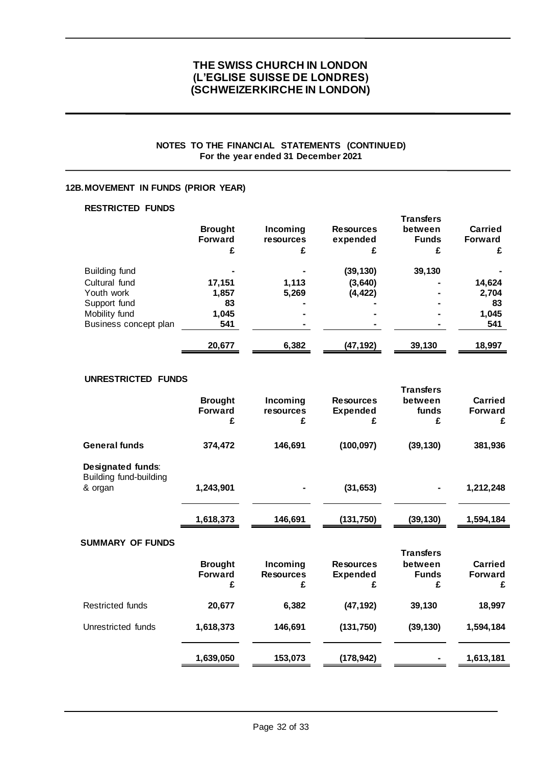## **NOTES TO THE FINANCIAL STATEMENTS (CONTINUED) For the year ended 31 December 2021**

## **12B.MOVEMENT IN FUNDS (PRIOR YEAR)**

## **RESTRICTED FUNDS**

|                       | <b>Brought</b><br><b>Forward</b><br>£ | Incoming<br>resources<br>£ | <b>Resources</b><br>expended | <b>Transfers</b><br>between<br><b>Funds</b><br>£ | Carried<br><b>Forward</b><br>£ |
|-----------------------|---------------------------------------|----------------------------|------------------------------|--------------------------------------------------|--------------------------------|
| Building fund         |                                       |                            | (39,130)                     | 39,130                                           |                                |
| Cultural fund         | 17,151                                | 1,113                      | (3,640)                      |                                                  | 14,624                         |
| Youth work            | 1,857                                 | 5,269                      | (4, 422)                     |                                                  | 2,704                          |
| Support fund          | 83                                    |                            |                              |                                                  | 83                             |
| Mobility fund         | 1,045                                 |                            |                              |                                                  | 1,045                          |
| Business concept plan | 541                                   |                            |                              |                                                  | 541                            |
|                       | 20,677                                | 6,382                      | (47,192)                     | 39,130                                           | 18,997                         |

## **UNRESTRICTED FUNDS**

|                                             |                |                  |                  | <b>Transfers</b> |                |
|---------------------------------------------|----------------|------------------|------------------|------------------|----------------|
|                                             | <b>Brought</b> | Incoming         | <b>Resources</b> | between          | Carried        |
|                                             | <b>Forward</b> | resources        | <b>Expended</b>  | funds            | <b>Forward</b> |
|                                             | £              | £                | £                | £                | £              |
| <b>General funds</b>                        | 374,472        | 146,691          | (100, 097)       | (39, 130)        | 381,936        |
| Designated funds:<br>Building fund-building |                |                  |                  |                  |                |
| & organ                                     | 1,243,901      |                  | (31, 653)        |                  | 1,212,248      |
|                                             | 1,618,373      | 146,691          | (131, 750)       | (39, 130)        | 1,594,184      |
| <b>SUMMARY OF FUNDS</b>                     |                |                  |                  |                  |                |
|                                             |                |                  |                  | <b>Transfers</b> |                |
|                                             | <b>Brought</b> | Incoming         | <b>Resources</b> | between          | <b>Carried</b> |
|                                             | <b>Forward</b> | <b>Resources</b> | <b>Expended</b>  | <b>Funds</b>     | <b>Forward</b> |
|                                             | £              | £                | £                | £                | £              |
| Restricted funds                            | 20,677         | 6,382            | (47, 192)        | 39,130           | 18,997         |
| Unrestricted funds                          | 1,618,373      | 146,691          | (131, 750)       | (39, 130)        | 1,594,184      |
|                                             | 1,639,050      | 153,073          | (178, 942)       |                  | 1,613,181      |